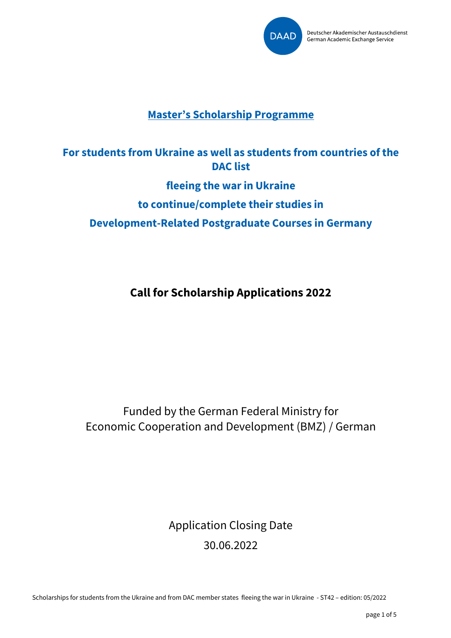

## **Master's Scholarship Programme**

# **For students from Ukraine as well as students from countries of the DAC list fleeing the war in Ukraine to continue/complete their studies in Development-Related Postgraduate Courses in Germany**

**Call for Scholarship Applications 2022**

Funded by the German Federal Ministry for Economic Cooperation and Development (BMZ) / German

> Application Closing Date 30.06.2022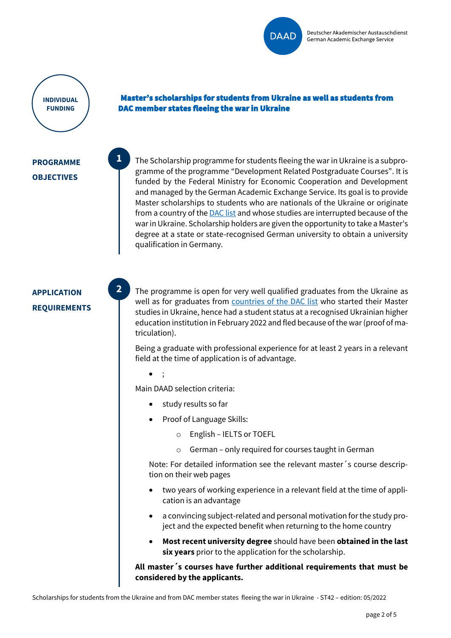

**INDIVIDUAL FUNDING**

#### Master's scholarships for students from Ukraine as well as students from DAC member states fleeing the war in Ukraine

### **PROGRAMME OBJECTIVES**

**1**

**2**

The Scholarship programme for students fleeing the war in Ukraine is a subprogramme of the programme "Development Related Postgraduate Courses". It is funded by the Federal Ministry for Economic Cooperation and Development and managed by the German Academic Exchange Service. Its goal is to provide Master scholarships to students who are nationals of the Ukraine or originate from a country of the **DAC** list and whose studies are interrupted because of the war in Ukraine. Scholarship holders are given the opportunity to take a Master's degree at a state or state-recognised German university to obtain a university qualification in Germany.

## **APPLICATION REQUIREMENTS**

The programme is open for very well qualified graduates from the Ukraine as well as for graduates from countries [of the DAC list](https://static.daad.de/media/daad_de/pdfs_nicht_barrierefrei/in-deutschland-studieren-forschen-lehren/dac_laenderliste_epos.pdf) who started their Master studies in Ukraine, hence had a student status at a recognised Ukrainian higher education institution in February 2022 and fled because of the war (proof of matriculation).

Being a graduate with professional experience for at least 2 years in a relevant field at the time of application is of advantage.

• ;

Main DAAD selection criteria:

- study results so far
- Proof of Language Skills:
	- o English IELTS or TOEFL
	- o German only required for courses taught in German

Note: For detailed information see the relevant master´s course description on their web pages

- two years of working experience in a relevant field at the time of application is an advantage
- a convincing subject-related and personal motivation for the study project and the expected benefit when returning to the home country
- **Most recent university degree** should have been **obtained in the last six years** prior to the application for the scholarship.

**All master´s courses have further additional requirements that must be considered by the applicants.**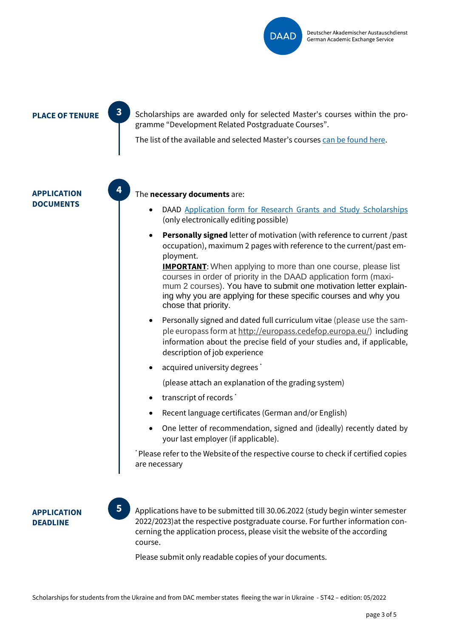

**PLACE OF TENURE**  $\begin{bmatrix} 3 \\ 3 \end{bmatrix}$  Scholarships are awarded only for selected Master's courses within the programme "Development Related Postgraduate Courses".

The list of the available and selected Master's courses [can be found](https://static.daad.de/media/daad_de/pdfs_nicht_barrierefrei/epos_studieng%C3%A4nge_merged_v3.pdf) here.

**APPLICATION DOCUMENTS**



**3**

#### The **necessary documents** are:

- DAAD [Application form for Research Grants and Study Scholarships](https://www.daad.de/medien/deutschland/stipendien/formulare/forschungsstipendium_en.pdf) (only electronically editing possible)
- **Personally signed** letter of motivation (with reference to current /past occupation), maximum 2 pages with reference to the current/past employment.

**IMPORTANT:** When applying to more than one course, please list courses in order of priority in the DAAD application form (maximum 2 courses). You have to submit one motivation letter explaining why you are applying for these specific courses and why you chose that priority.

- Personally signed and dated full curriculum vitae (please use the sample europass form at [http://europass.cedefop.europa.eu/\)](http://europass.cedefop.europa.eu/) including information about the precise field of your studies and, if applicable, description of job experience
- acquired university degrees \*

(please attach an explanation of the grading system)

- transcript of records<sup>\*</sup>
- Recent language certificates (German and/or English)
- One letter of recommendation, signed and (ideally) recently dated by your last employer (if applicable).

\* Please refer to the Websiteof the respective course to check if certified copies are necessary

**APPLICATION DEADLINE**

Applications have to be submitted till 30.06.2022 (study begin winter semester 2022/2023)at the respective postgraduate course. For further information concerning the application process, please visit the website of the according course. **5**

Please submit only readable copies of your documents.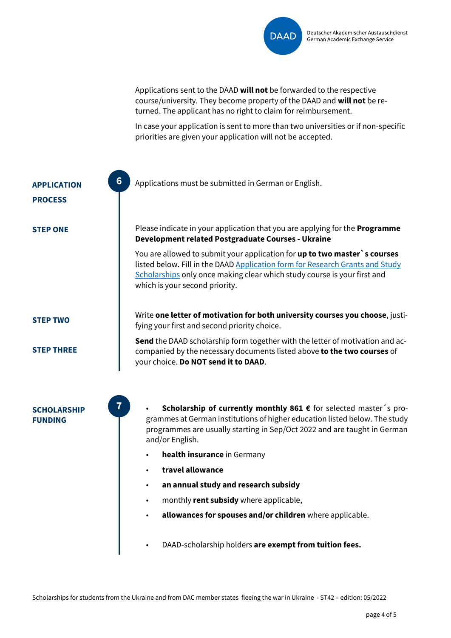

Applications sent to the DAAD **will not** be forwarded to the respective course/university. They become property of the DAAD and **will not** be returned. The applicant has no right to claim for reimbursement.

In case your application is sent to more than two universities or if non-specific priorities are given your application will not be accepted.